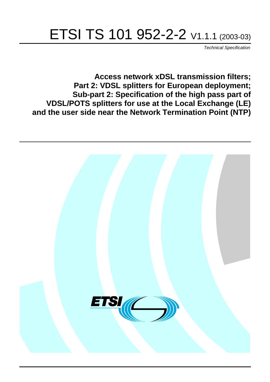# ETSI TS 101 952-2-2 V1.1.1 (2003-03)

Technical Specification

**Access network xDSL transmission filters; Part 2: VDSL splitters for European deployment; Sub-part 2: Specification of the high pass part of VDSL/POTS splitters for use at the Local Exchange (LE) and the user side near the Network Termination Point (NTP)**

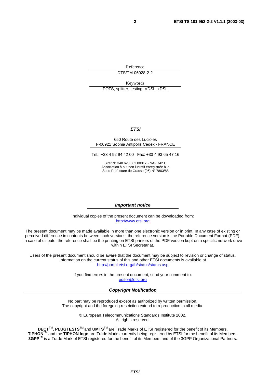Reference DTS/TM-06028-2-2

Keywords

POTS, splitter, testing, VDSL, xDSL

#### **ETSI**

#### 650 Route des Lucioles F-06921 Sophia Antipolis Cedex - FRANCE

Tel.: +33 4 92 94 42 00 Fax: +33 4 93 65 47 16

Siret N° 348 623 562 00017 - NAF 742 C Association à but non lucratif enregistrée à la Sous-Préfecture de Grasse (06) N° 7803/88

#### **Important notice**

Individual copies of the present document can be downloaded from: [http://www.etsi.org](http://www.etsi.org/)

The present document may be made available in more than one electronic version or in print. In any case of existing or perceived difference in contents between such versions, the reference version is the Portable Document Format (PDF). In case of dispute, the reference shall be the printing on ETSI printers of the PDF version kept on a specific network drive within ETSI Secretariat.

Users of the present document should be aware that the document may be subject to revision or change of status. Information on the current status of this and other ETSI documents is available at <http://portal.etsi.org/tb/status/status.asp>

> If you find errors in the present document, send your comment to: [editor@etsi.org](mailto:editor@etsi.org)

#### **Copyright Notification**

No part may be reproduced except as authorized by written permission. The copyright and the foregoing restriction extend to reproduction in all media.

> © European Telecommunications Standards Institute 2002. All rights reserved.

**DECT**TM, **PLUGTESTS**TM and **UMTS**TM are Trade Marks of ETSI registered for the benefit of its Members. **TIPHON**TM and the **TIPHON logo** are Trade Marks currently being registered by ETSI for the benefit of its Members. **3GPP**TM is a Trade Mark of ETSI registered for the benefit of its Members and of the 3GPP Organizational Partners.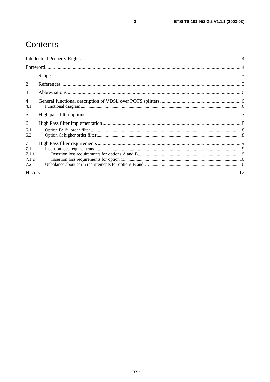# Contents

| $\mathbf{1}$                           |  |  |  |
|----------------------------------------|--|--|--|
| 2                                      |  |  |  |
| 3                                      |  |  |  |
| $\overline{4}$<br>4.1                  |  |  |  |
| 5                                      |  |  |  |
| 6<br>6.1<br>6.2                        |  |  |  |
| $\tau$<br>7.1<br>7.1.1<br>7.1.2<br>7.2 |  |  |  |
|                                        |  |  |  |

 $\mathbf{3}$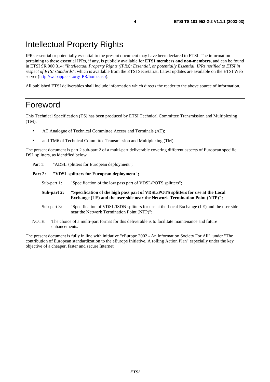# Intellectual Property Rights

IPRs essential or potentially essential to the present document may have been declared to ETSI. The information pertaining to these essential IPRs, if any, is publicly available for **ETSI members and non-members**, and can be found in ETSI SR 000 314: *"Intellectual Property Rights (IPRs); Essential, or potentially Essential, IPRs notified to ETSI in respect of ETSI standards"*, which is available from the ETSI Secretariat. Latest updates are available on the ETSI Web server ([http://webapp.etsi.org/IPR/home.asp\)](http://webapp.etsi.org/IPR/home.asp).

All published ETSI deliverables shall include information which directs the reader to the above source of information.

### Foreword

This Technical Specification (TS) has been produced by ETSI Technical Committee Transmission and Multiplexing (TM).

- AT Analogue of Technical Committee Access and Terminals (AT);
- and TM6 of Technical Committee Transmission and Multiplexing (TM).

The present document is part 2 sub-part 2 of a multi-part deliverable covering different aspects of European specific DSL splitters, as identified below:

Part 1: "ADSL splitters for European deployment";

#### Part 2: "VDSL splitters for European deployment";

Sub-part 1: "Specification of the low pass part of VDSL/POTS splitters";

- **Sub-part 2: "Specification of the high pass part of VDSL/POTS splitters for use at the Local Exchange (LE) and the user side near the Network Termination Point (NTP)";**
- Sub-part 3: "Specification of VDSL/ISDN splitters for use at the Local Exchange (LE) and the user side near the Network Termination Point (NTP)";
- NOTE: The choice of a multi-part format for this deliverable is to facilitate maintenance and future enhancements.

The present document is fully in line with initiative "eEurope 2002 - An Information Society For All", under "The contribution of European standardization to the eEurope Initiative, A rolling Action Plan" especially under the key objective of a cheaper, faster and secure Internet.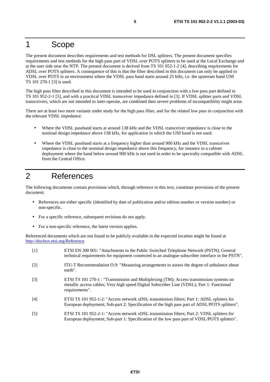### 1 Scope

The present document describes requirements and test methods for DSL splitters. The present document specifies requirements and test methods for the high pass part of VDSL over POTS splitters to be used at the Local Exchange and at the user side near the NTP. The present document is derived from TS 101 952-1-2 [4], describing requirements for ADSL over POTS splitters. A consequence of this is that the filter described in this document can only be applied to VDSL over POTS in an environment where the VDSL pass band starts around 25 kHz, i.e. the upstream band US0 TS 101 270-1 [3] is used.

The high pass filter described in this document is intended to be used in conjunction with a low pass part defined in TS 101 952-2-1 [5], and with a practical VDSL transceiver impedance defined in [3]. If VDSL splitter parts and VDSL transceivers, which are not intended to inter-operate, are combined then severe problems of incompatibility might arise.

There are at least two more variants under study for the high pass filter, and for the related low pass in conjunction with the relevant VDSL impedance:

- Where the VDSL passband starts at around 138 kHz and the VDSL transceiver impedance is close to the nominal design impedance above 138 kHz, for application in which the US0 band is not used.
- Where the VDSL passband starts at a frequency higher than around 900 kHz and the VDSL transceiver impedance is close to the nominal design impedance above this frequency, for instance in a cabinet deployment where the band below around 900 kHz is not used in order to be spectrally compatible with ADSL from the Central Office.

# 2 References

The following documents contain provisions which, through reference in this text, constitute provisions of the present document.

- References are either specific (identified by date of publication and/or edition number or version number) or non-specific.
- For a specific reference, subsequent revisions do not apply.
- For a non-specific reference, the latest version applies.

Referenced documents which are not found to be publicly available in the expected location might be found at <http://docbox.etsi.org/Reference>.

| $[1]$             | ETSI EN 300 001: "Attachments to the Public Switched Telephone Network (PSTN); General<br>technical requirements for equipment connected to an analogue subscriber interface in the PSTN".              |
|-------------------|---------------------------------------------------------------------------------------------------------------------------------------------------------------------------------------------------------|
| $\lceil 2 \rceil$ | ITU-T Recommendation O.9: "Measuring arrangements to assess the degree of unbalance about<br>earth".                                                                                                    |
| $\lceil 3 \rceil$ | ETSI TS 101 270-1 : "Transmission and Multiplexing (TM); Access transmission systems on<br>metallic access cables; Very high speed Digital Subscriber Line (VDSL); Part 1: Functional<br>requirements". |
| [4]               | ETSI TS 101 952-1-2: "Access network xDSL transmission filters; Part 1: ADSL splitters for<br>European deployment; Sub-part 2: Specification of the high pass part of ADSL/POTS splitters".             |
| $[5]$             | ETSI TS 101 952-2-1: "Access network xDSL transmission filters; Part 2: VDSL splitters for<br>European deployment; Sub-part 1: Specification of the low pass part of VDSL/POTS splitters".              |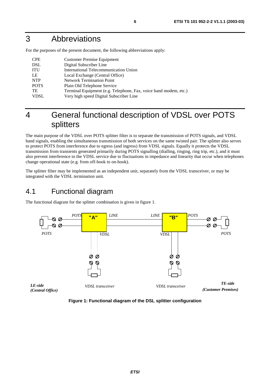## 3 Abbreviations

For the purposes of the present document, the following abbreviations apply:

| <b>CPE</b>  | <b>Customer Premise Equipment</b>                                |
|-------------|------------------------------------------------------------------|
| <b>DSL</b>  | Digital Subscriber Line                                          |
| <b>ITU</b>  | International Telecommunication Union                            |
| LE          | Local Exchange (Central Office)                                  |
| <b>NTP</b>  | <b>Network Termination Point</b>                                 |
| <b>POTS</b> | Plain Old Telephone Service                                      |
| <b>TE</b>   | Terminal Equipment (e.g. Telephone, Fax, voice band modem, etc.) |
| VDSL        | Very high speed Digital Subscriber Line                          |

# 4 General functional description of VDSL over POTS splitters

The main purpose of the VDSL over POTS splitter filter is to separate the transmission of POTS signals, and VDSL band signals, enabling the simultaneous transmission of both services on the same twisted pair. The splitter also serves to protect POTS from interference due to egress (and ingress) from VDSL signals. Equally it protects the VDSL transmission from transients generated primarily during POTS signalling (dialling, ringing, ring trip, etc.), and it must also prevent interference to the VDSL service due to fluctuations in impedance and linearity that occur when telephones change operational state (e.g. from off-hook to on-hook).

The splitter filter may be implemented as an independent unit, separately from the VDSL transceiver, or may be integrated with the VDSL termination unit.

### 4.1 Functional diagram

The functional diagram for the splitter combination is given in figure 1.



**Figure 1: Functional diagram of the DSL splitter configuration**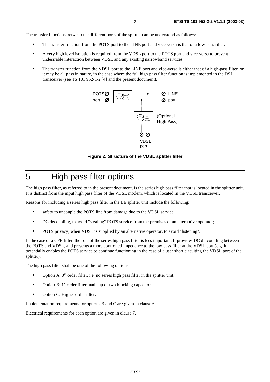The transfer functions between the different ports of the splitter can be understood as follows:

- The transfer function from the POTS port to the LINE port and vice-versa is that of a low-pass filter.
- A very high level isolation is required from the VDSL port to the POTS port and vice-versa to prevent undesirable interaction between VDSL and any existing narrowband services.
- The transfer function from the VDSL port to the LINE port and vice-versa is either that of a high-pass filter, or it may be all pass in nature, in the case where the full high pass filter function is implemented in the DSL transceiver (see TS 101 952-1-2 [4] and the present document).



**Figure 2: Structure of the VDSL splitter filter** 

# 5 High pass filter options

The high pass filter, as referred to in the present document, is the series high pass filter that is located in the splitter unit. It is distinct from the input high pass filter of the VDSL modem, which is located in the VDSL transceiver.

Reasons for including a series high pass filter in the LE splitter unit include the following:

- safety to uncouple the POTS line from damage due to the VDSL service;
- DC decoupling, to avoid "stealing" POTS service from the premises of an alternative operator;
- POTS privacy, when VDSL is supplied by an alternative operator, to avoid "listening".

In the case of a CPE filter, the role of the series high pass filter is less important. It provides DC de-coupling between the POTS and VDSL, and presents a more controlled impedance to the low pass filter at the VDSL port (e.g. it potentially enables the POTS service to continue functioning in the case of a user short circuiting the VDSL port of the splitter).

The high pass filter shall be one of the following options:

- Option A:  $0<sup>th</sup>$  order filter, i.e. no series high pass filter in the splitter unit;
- Option B:  $1<sup>st</sup>$  order filter made up of two blocking capacitors;
- Option C: Higher order filter.

Implementation requirements for options B and C are given in clause 6.

Electrical requirements for each option are given in clause 7.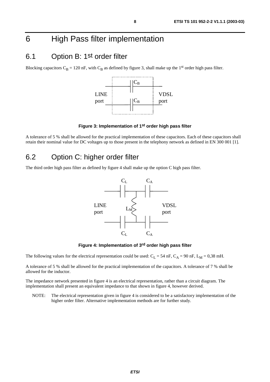# 6 High Pass filter implementation

### 6.1 Option B: 1st order filter

Blocking capacitors  $C_B = 120$  nF, with  $C_B$  as defined by figure 3, shall make up the 1<sup>st</sup> order high pass filter.



**Figure 3: Implementation of 1st order high pass filter** 

A tolerance of 5 % shall be allowed for the practical implementation of these capacitors. Each of these capacitors shall retain their nominal value for DC voltages up to those present in the telephony network as defined in EN 300 001 [1].

### 6.2 Option C: higher order filter

The third order high pass filter as defined by figure 4 shall make up the option C high pass filter.





The following values for the electrical representation could be used:  $C_L = 54$  nF,  $C_A = 90$  nF,  $L_M = 0,38$  mH.

A tolerance of 5 % shall be allowed for the practical implementation of the capacitors. A tolerance of 7 % shall be allowed for the inductor.

The impedance network presented in figure 4 is an electrical representation, rather than a circuit diagram. The implementation shall present an equivalent impedance to that shown in figure 4, however derived.

NOTE: The electrical representation given in figure 4 is considered to be a satisfactory implementation of the higher order filter. Alternative implementation methods are for further study.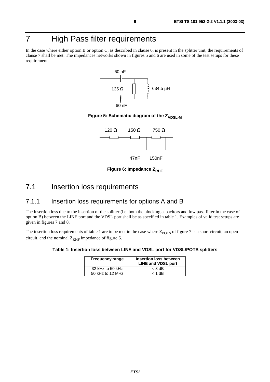# 7 High Pass filter requirements

In the case where either option B or option C, as described in clause 6, is present in the splitter unit, the requirements of clause 7 shall be met. The impedances networks shown in figures 5 and 6 are used in some of the test setups for these requirements.



**Figure 5: Schematic diagram of the Z<sub>VDSL-M</sub>** 



**Figure 6: Impedance Z<sub>RHF</sub>** 

### 7.1 Insertion loss requirements

#### 7.1.1 Insertion loss requirements for options A and B

The insertion loss due to the insertion of the splitter (i.e. both the blocking capacitors and low pass filter in the case of option B) between the LINE port and the VDSL port shall be as specified in table 1. Examples of valid test setups are given in figures 7 and 8.

The insertion loss requirements of table 1 are to be met in the case where  $Z_{POTS}$  of figure 7 is a short circuit, an open circuit, and the nominal  $Z_{RHF}$  impedance of figure 6.

#### **Table 1: Insertion loss between LINE and VDSL port for VDSL/POTS splitters**

| <b>Frequency range</b> | Insertion loss between<br><b>LINE and VDSL port</b> |
|------------------------|-----------------------------------------------------|
| 32 kHz to 50 kHz       | $<$ 3 dB                                            |
| 50 kHz to 12 MHz       | $< 1$ dB                                            |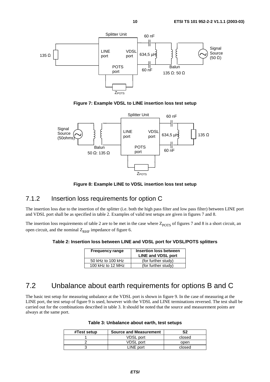

**Figure 7: Example VDSL to LINE insertion loss test setup** 



**Figure 8: Example LINE to VDSL insertion loss test setup** 

#### 7.1.2 Insertion loss requirements for option C

The insertion loss due to the insertion of the splitter (i.e. both the high pass filter and low pass filter) between LINE port and VDSL port shall be as specified in table 2. Examples of valid test setups are given in figures 7 and 8.

The insertion loss requirements of table 2 are to be met in the case where  $Z_{POTS}$  of figures 7 and 8 is a short circuit, an open circuit, and the nominal  $Z_{\text{RHF}}$  impedance of figure 6.

**Table 2: Insertion loss between LINE and VDSL port for VDSL/POTS splitters** 

| <b>Frequency range</b> | <b>Insertion loss between</b><br><b>LINE and VDSL port</b> |
|------------------------|------------------------------------------------------------|
| 50 kHz to 100 kHz      | (for further study)                                        |
| 100 kHz to 12 MHz      | (for further study)                                        |

### 7.2 Unbalance about earth requirements for options B and C

The basic test setup for measuring unbalance at the VDSL port is shown in figure 9. In the case of measuring at the LINE port, the test setup of figure 9 is used, however with the VDSL and LINE terminations reversed. The test shall be carried out for the combinations described in table 3. It should be noted that the source and measurement points are always at the same port.

| Table 3: Unbalance about earth, test setups |  |  |
|---------------------------------------------|--|--|
|---------------------------------------------|--|--|

| #Test setup | <b>Source and Measurement</b> | S2     |
|-------------|-------------------------------|--------|
|             | <b>VDSL</b> port              | closed |
|             | <b>VDSL port</b>              | open   |
|             | LINE port                     | closed |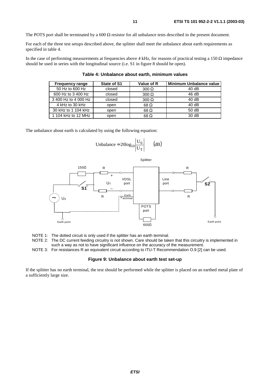The POTS port shall be terminated by a 600  $\Omega$  resistor for all unbalance tests described in the present document.

For each of the three test setups described above, the splitter shall meet the unbalance about earth requirements as specified in table 4.

In the case of performing measurements at frequencies above 4 kHz, for reasons of practical testing a 150  $\Omega$  impedance should be used in series with the longitudinal source (i.e. S1 in figure 8 should be open).

| <b>Frequency range</b> | State of S1 | Value of R   | <b>Minimum Unbalance value</b> |
|------------------------|-------------|--------------|--------------------------------|
| 50 Hz to 600 Hz        | closed      | $300 \Omega$ | 40dB                           |
| 600 Hz to 3 400 Hz     | closed      | $300 \Omega$ | 46dB                           |
| 3 400 Hz to 4 000 Hz   | closed      | $300 \Omega$ | 40dB                           |
| 4 kHz to 30 kHz        | open        | 68 $\Omega$  | 40dB                           |
| 30 kHz to 1 104 kHz    | open        | $68\Omega$   | 50dB                           |
| 1 104 kHz to 12 MHz    | open        | 68 Ω         | 30dB                           |

**Table 4: Unbalance about earth, minimum values** 

The unbalance about earth is calculated by using the following equation:

Unbalance = 
$$
20\log_{10} \left| \frac{U_0}{U_T} \right|
$$
 (dB)



NOTE 1: The dotted circuit is only used if the splitter has an earth terminal.

NOTE 2: The DC current feeding circuitry is not shown. Care should be taken that this circuitry is implemented in such a way as not to have significant influence on the accuracy of the measurement.

NOTE 3: For resistances R an equivalent circuit according to ITU-T Recommendation O.9 [2] can be used.

#### **Figure 9: Unbalance about earth test set-up**

If the splitter has no earth terminal, the test should be performed while the splitter is placed on an earthed metal plate of a sufficiently large size.